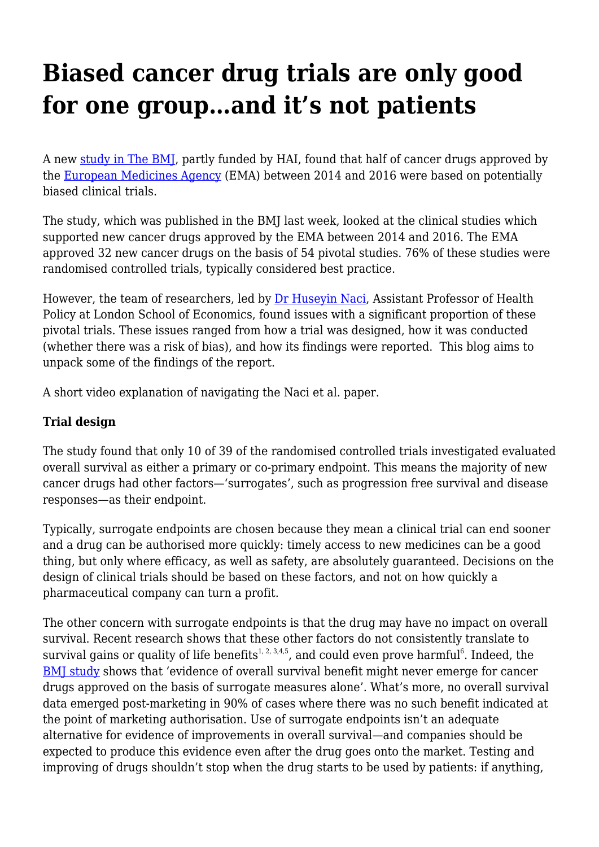## **Biased cancer drug trials are only good for one group…and it's not patients**

A new [study in The BMJ](https://www.bmj.com/content/366/bmj.l5221), partly funded by HAI, found that half of cancer drugs approved by the [European Medicines Agency](https://haiweb.org/study-provides-recommendations-on-european-medicines-agencys-communication-on-medicines/) (EMA) between 2014 and 2016 were based on potentially biased clinical trials.

The study, which was published in the BMJ last week, looked at the clinical studies which supported new cancer drugs approved by the EMA between 2014 and 2016. The EMA approved 32 new cancer drugs on the basis of 54 pivotal studies. 76% of these studies were randomised controlled trials, typically considered best practice.

However, the team of researchers, led by [Dr Huseyin Naci,](http://www.lse.ac.uk/health-policy/people/huseyin-naci-phd-mhs) Assistant Professor of Health Policy at London School of Economics, found issues with a significant proportion of these pivotal trials. These issues ranged from how a trial was designed, how it was conducted (whether there was a risk of bias), and how its findings were reported. This blog aims to unpack some of the findings of the report.

A short video explanation of navigating the Naci et al. paper.

## **Trial design**

The study found that only 10 of 39 of the randomised controlled trials investigated evaluated overall survival as either a primary or co-primary endpoint. This means the majority of new cancer drugs had other factors—'surrogates', such as progression free survival and disease responses—as their endpoint.

Typically, surrogate endpoints are chosen because they mean a clinical trial can end sooner and a drug can be authorised more quickly: timely access to new medicines can be a good thing, but only where efficacy, as well as safety, are absolutely guaranteed. Decisions on the design of clinical trials should be based on these factors, and not on how quickly a pharmaceutical company can turn a profit.

The other concern with surrogate endpoints is that the drug may have no impact on overall survival. Recent research shows that these other factors do not consistently translate to survival gains or quality of life benefits $^{1,\,2,\,3,4,5}$ , and could even prove harmful $^6$ . Indeed, the [BMJ study](https://www.bmj.com/content/366/bmj.l5221) shows that 'evidence of overall survival benefit might never emerge for cancer drugs approved on the basis of surrogate measures alone'. What's more, no overall survival data emerged post-marketing in 90% of cases where there was no such benefit indicated at the point of marketing authorisation. Use of surrogate endpoints isn't an adequate alternative for evidence of improvements in overall survival—and companies should be expected to produce this evidence even after the drug goes onto the market. Testing and improving of drugs shouldn't stop when the drug starts to be used by patients: if anything,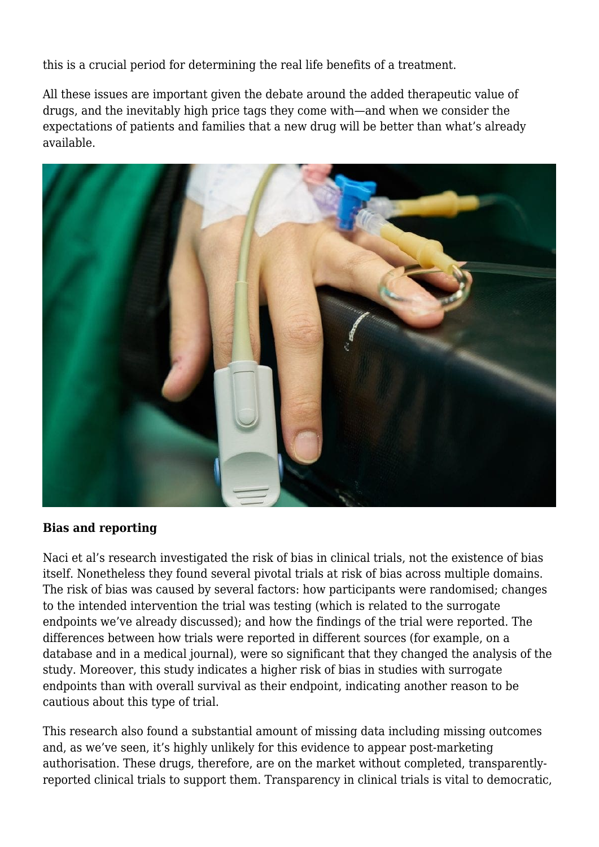this is a crucial period for determining the real life benefits of a treatment.

All these issues are important given the debate around the added therapeutic value of drugs, and the inevitably high price tags they come with—and when we consider the expectations of patients and families that a new drug will be better than what's already available.



## **Bias and reporting**

Naci et al's research investigated the risk of bias in clinical trials, not the existence of bias itself. Nonetheless they found several pivotal trials at risk of bias across multiple domains. The risk of bias was caused by several factors: how participants were randomised; changes to the intended intervention the trial was testing (which is related to the surrogate endpoints we've already discussed); and how the findings of the trial were reported. The differences between how trials were reported in different sources (for example, on a database and in a medical journal), were so significant that they changed the analysis of the study. Moreover, this study indicates a higher risk of bias in studies with surrogate endpoints than with overall survival as their endpoint, indicating another reason to be cautious about this type of trial.

This research also found a substantial amount of missing data including missing outcomes and, as we've seen, it's highly unlikely for this evidence to appear post-marketing authorisation. These drugs, therefore, are on the market without completed, transparentlyreported clinical trials to support them. Transparency in clinical trials is vital to democratic,